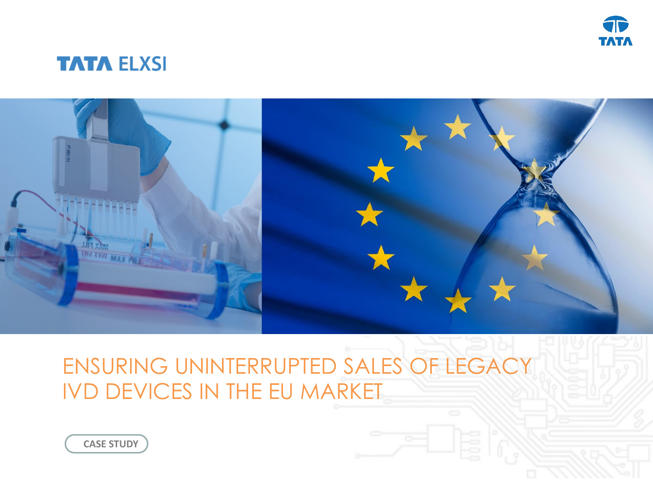

### **TATA ELXSI**



# ENSURING UNINTERRUPTED SALES OF LEGACY IVD DEVICES IN THE EU MARKET

**CASE STUDY**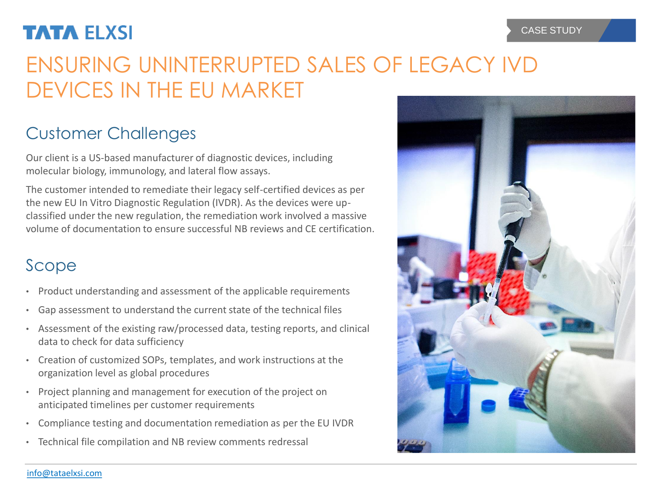## **TATA ELXSI**

# ENSURING UNINTERRUPTED SALES OF LEGACY IVD DEVICES IN THE EU MARKET

## Customer Challenges

Our client is a US-based manufacturer of diagnostic devices, including molecular biology, immunology, and lateral flow assays.

The customer intended to remediate their legacy self-certified devices as per the new EU In Vitro Diagnostic Regulation (IVDR). As the devices were upclassified under the new regulation, the remediation work involved a massive volume of documentation to ensure successful NB reviews and CE certification.

### Scope

- Product understanding and assessment of the applicable requirements
- Gap assessment to understand the current state of the technical files
- Assessment of the existing raw/processed data, testing reports, and clinical data to check for data sufficiency
- Creation of customized SOPs, templates, and work instructions at the organization level as global procedures
- Project planning and management for execution of the project on anticipated timelines per customer requirements
- Compliance testing and documentation remediation as per the EU IVDR
- Technical file compilation and NB review comments redressal



#### [info@tataelxsi.com](mailto:info@tataelxsi.com?subject=More%20information)